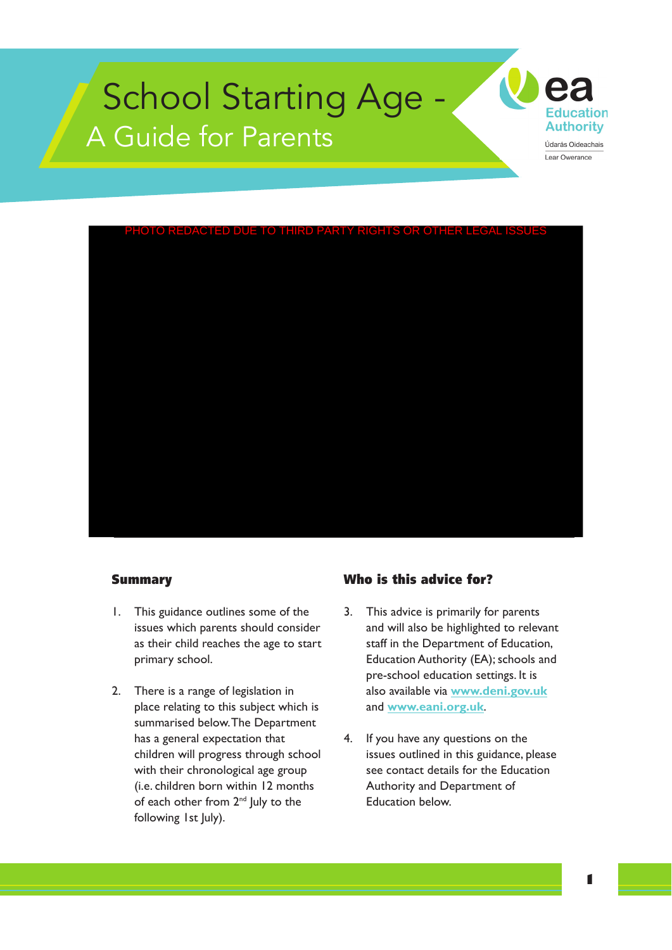

Lear Owerance



#### Summary

- 1. This guidance outlines some of the issues which parents should consider as their child reaches the age to start primary school.
- 2. There is a range of legislation in place relating to this subject which is summarised below.The Department has a general expectation that children will progress through school with their chronological age group (i.e. children born within 12 months of each other from 2<sup>nd</sup> July to the following 1st July).

#### Who is this advice for?

- 3. This advice is primarily for parents and will also be highlighted to relevant staff in the Department of Education, Education Authority (EA); schools and pre-school education settings. It is also available via **www.deni.gov.uk**  and **www.eani.org.uk**.
- 4. If you have any questions on the issues outlined in this guidance, please see contact details for the Education Authority and Department of Education below.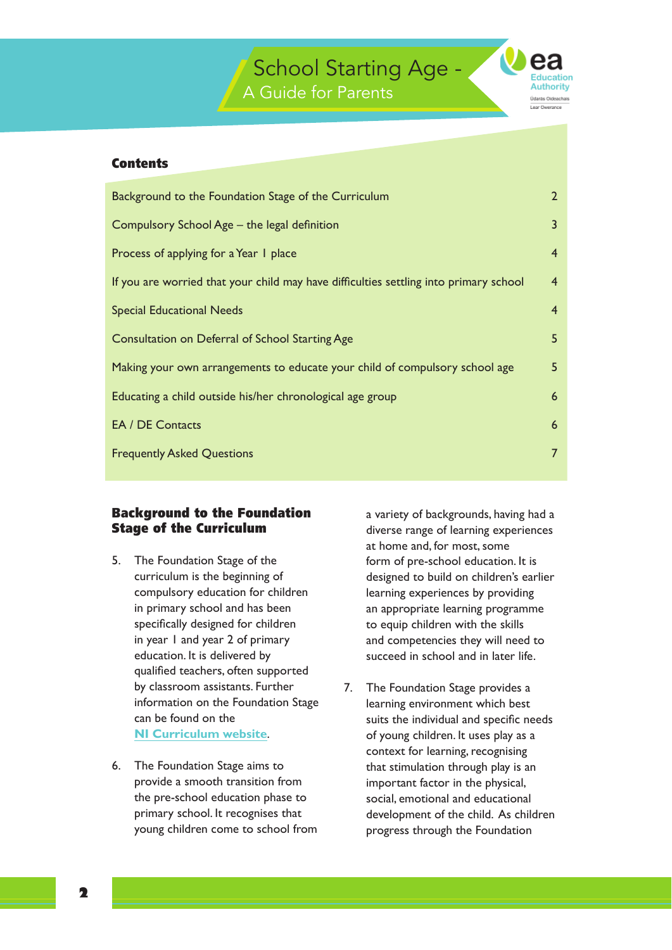

#### **Contents**

| Background to the Foundation Stage of the Curriculum                                  | $\overline{2}$  |
|---------------------------------------------------------------------------------------|-----------------|
| Compulsory School Age - the legal definition                                          | $\overline{3}$  |
| Process of applying for a Year 1 place                                                | $\overline{4}$  |
| If you are worried that your child may have difficulties settling into primary school | $\overline{4}$  |
| <b>Special Educational Needs</b>                                                      | $\overline{4}$  |
| Consultation on Deferral of School Starting Age                                       | 5               |
| Making your own arrangements to educate your child of compulsory school age           | 5               |
| Educating a child outside his/her chronological age group                             | $6\overline{6}$ |
| <b>EA / DE Contacts</b>                                                               | $6\overline{6}$ |
| <b>Frequently Asked Questions</b>                                                     | $\overline{7}$  |
|                                                                                       |                 |

#### **Background to the Foundation** a variety of backgrounds, having had a **Stage of the Curriculum** diverse range of learning experiences

- 5. The Foundation Stage of the form of pre-school education. It is compulsory education for children learning experiences by providing specifically designed for children to equip children with the skills education. It is delivered by succeed in school and in later life. qualified teachers, often supported by classroom assistants. Further 7. The Foundation Stage provides a
- 

at home and, for most, some curriculum is the beginning of designed to build on children's earlier in primary school and has been an appropriate learning programme in year 1 and year 2 of primary and competencies they will need to

primary school. It recognises that development of the child. As children information on the Foundation Stage learning environment which best can be found on the suits the individual and specific needs **NI Curriculum website.** The solution of young children. It uses play as a context for learning, recognising 6. The Foundation Stage aims to that stimulation through play is an provide a smooth transition from important factor in the physical, the pre-school education phase to social, emotional and educational young children come to school from progress through the Foundation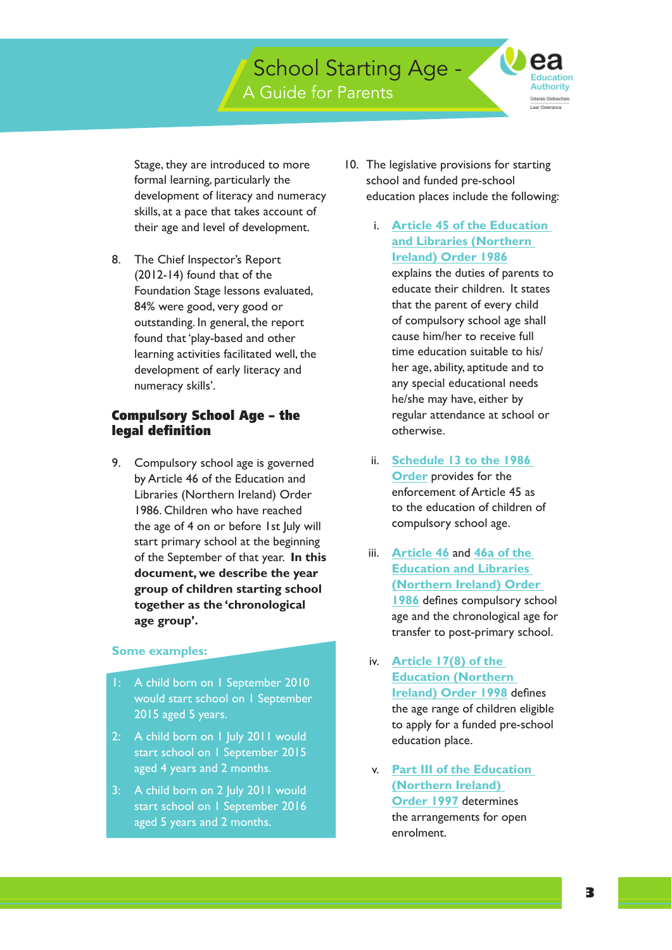**Education** Authority darãs Oideachais

Stage, they are introduced to more formal learning, particularly the development of literacy and numeracy skills, at a pace that takes account of their age and level of development.

8. The Chief Inspector's Report (2012-14) found that of the Foundation Stage lessons evaluated, 84% were good, very good or outstanding. In general, the report found that 'play-based and other learning activities facilitated well, the development of early literacy and numeracy skills'.

#### Compulsory School Age – the legal definition

 of the September of that year. **In this**  9. Compulsory school age is governed by Article 46 of the Education and Libraries (Northern Ireland) Order 1986. Children who have reached the age of 4 on or before 1st July will start primary school at the beginning **document, we describe the year group of children starting school together as the 'chronological age group'.** 

#### **Some examples:**

- A child born on 1 September 2010 would start school on 1 September 2015 aged 5 years.
- 2: A child born on 1 July 2011 would start school on 1 September 2015 aged 4 years and 2 months.
- 3: A child born on 2 July 2011 would start school on 1 September 2016 aged 5 years and 2 months.
- 10. The legislative provisions for starting school and funded pre-school education places include the following:
	- i. **Article 45 of the Education and Libraries (Northern Ireland) Order 1986**

explains the duties of parents to educate their children. It states that the parent of every child of compulsory school age shall cause him/her to receive full time education suitable to his/ her age, ability, aptitude and to any special educational needs he/she may have, either by regular attendance at school or otherwise.

- compulsory school age. ii. **Schedule 13 to the 1986 Order** provides for the enforcement of Article 45 as to the education of children of
- iii. **Article 46** and **46a of the Education and Libraries (Northern Ireland) Order 1986** defines compulsory school age and the chronological age for transfer to post-primary school.
- iv. **Article 17(8) of the Education (Northern Ireland) Order 1998** defines the age range of children eligible to apply for a funded pre-school education place.
- v. **Part III of the Education (Northern Ireland) Order 1997** determines the arrangements for open enrolment.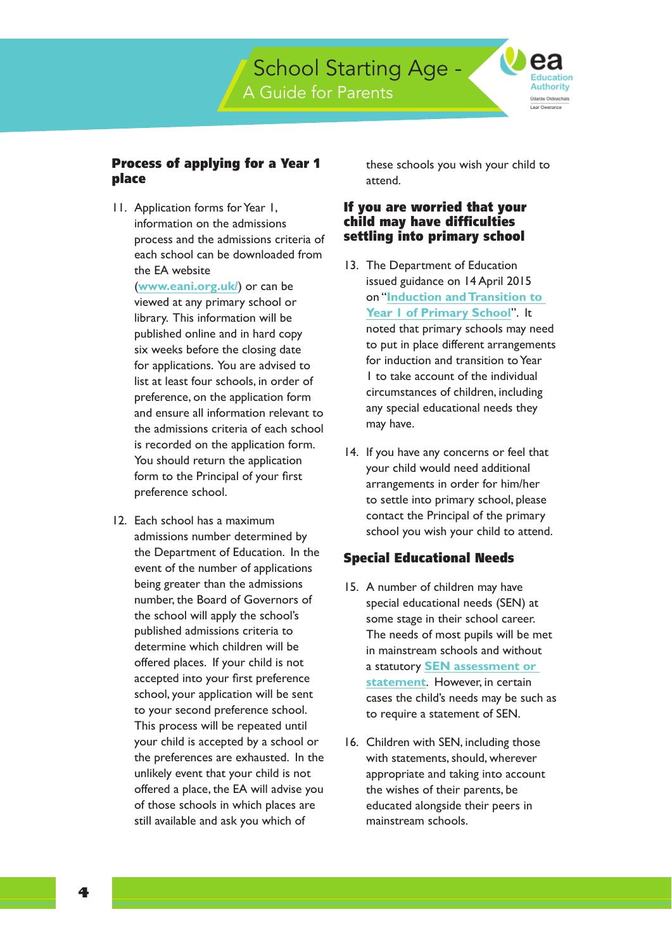**Education** Authority darãs Oideachais

### Process of applying for a Year 1 place

11. Application forms for Year 1, information on the admissions process and the admissions criteria of each school can be downloaded from the EA website

 library. This information will be for applications. You are advised to is recorded on the application form. (**www.eani.org.uk/**) or can be viewed at any primary school or published online and in hard copy six weeks before the closing date list at least four schools, in order of preference, on the application form and ensure all information relevant to the admissions criteria of each school You should return the application form to the Principal of your first preference school.

 to your second preference school. 12. Each school has a maximum admissions number determined by the Department of Education. In the event of the number of applications being greater than the admissions number, the Board of Governors of the school will apply the school's published admissions criteria to determine which children will be offered places. If your child is not accepted into your first preference school, your application will be sent This process will be repeated until your child is accepted by a school or the preferences are exhausted. In the unlikely event that your child is not offered a place, the EA will advise you of those schools in which places are still available and ask you which of

these schools you wish your child to attend.

## If you are worried that your child may have difficulties settling into primary school

- 13. The Department of Education issued guidance on 14 April 2015 on "**Induction and Transition to Year 1 of Primary School**". It noted that primary schools may need to put in place different arrangements for induction and transition to Year 1 to take account of the individual circumstances of children, including any special educational needs they may have.
- 14. If you have any concerns or feel that your child would need additional arrangements in order for him/her to settle into primary school, please contact the Principal of the primary school you wish your child to attend.

## Special Educational Needs

- some stage in their school career. 15. A number of children may have special educational needs (SEN) at The needs of most pupils will be met in mainstream schools and without a statutory **SEN assessment or statement**. However, in certain cases the child's needs may be such as to require a statement of SEN.
- 16. Children with SEN, including those with statements, should, wherever appropriate and taking into account the wishes of their parents, be educated alongside their peers in mainstream schools.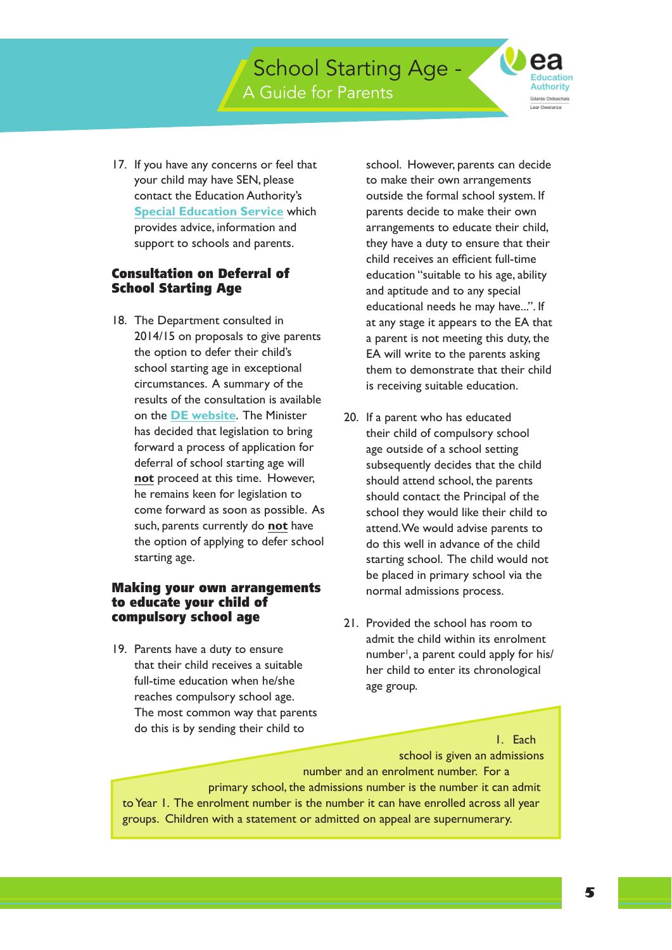**Education** Authority arás Oideachais

 support to schools and parents. 17. If you have any concerns or feel that your child may have SEN, please contact the Education Authority's **Special Education Service** which provides advice, information and

## Consultation on Deferral of School Starting Age

 circumstances. A summary of the on the **DE website**. The Minister come forward as soon as possible. As 18. The Department consulted in 2014/15 on proposals to give parents the option to defer their child's school starting age in exceptional results of the consultation is available has decided that legislation to bring forward a process of application for deferral of school starting age will **not** proceed at this time. However, he remains keen for legislation to such, parents currently do **not** have the option of applying to defer school starting age.

#### compulsory school age Making your own arrangements to educate your child of

19. Parents have a duty to ensure that their child receives a suitable full-time education when he/she reaches compulsory school age. The most common way that parents do this is by sending their child to

school. However, parents can decide to make their own arrangements outside the formal school system. If parents decide to make their own arrangements to educate their child, they have a duty to ensure that their child receives an efficient full-time education "suitable to his age, ability and aptitude and to any special educational needs he may have...". If at any stage it appears to the EA that a parent is not meeting this duty, the EA will write to the parents asking them to demonstrate that their child is receiving suitable education.

- starting school. The child would not 20. If a parent who has educated their child of compulsory school age outside of a school setting subsequently decides that the child should attend school, the parents should contact the Principal of the school they would like their child to attend.We would advise parents to do this well in advance of the child be placed in primary school via the normal admissions process.
- 21. Provided the school has room to admit the child within its enrolment number<sup>1</sup>, a parent could apply for his/ her child to enter its chronological age group.

1. Each

 to Year 1. The enrolment number is the number it can have enrolled across all year school is given an admissions number and an enrolment number. For a primary school, the admissions number is the number it can admit groups. Children with a statement or admitted on appeal are supernumerary.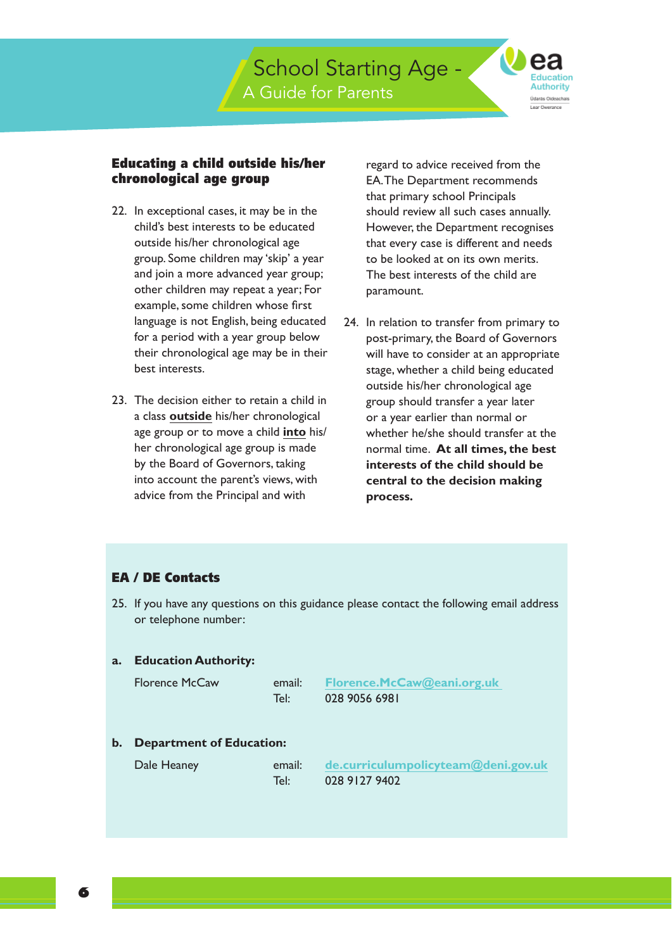

#### Educating a child outside his/her chronological age group

- 22. In exceptional cases, it may be in the child's best interests to be educated outside his/her chronological age group. Some children may 'skip' a year and join a more advanced year group; other children may repeat a year; For example, some children whose first language is not English, being educated for a period with a year group below their chronological age may be in their best interests.
- 23. The decision either to retain a child in a class **outside** his/her chronological age group or to move a child **into** his/ her chronological age group is made by the Board of Governors, taking into account the parent's views, with advice from the Principal and with

regard to advice received from the EA.The Department recommends that primary school Principals should review all such cases annually. However, the Department recognises that every case is different and needs to be looked at on its own merits. The best interests of the child are paramount.

 normal time. **At all times, the best**  24. In relation to transfer from primary to post-primary, the Board of Governors will have to consider at an appropriate stage, whether a child being educated outside his/her chronological age group should transfer a year later or a year earlier than normal or whether he/she should transfer at the **interests of the child should be central to the decision making process.** 

#### EA / DE Contacts

25. If you have any questions on this guidance please contact the following email address or telephone number:

#### **a. Education Authority:**

| prence McCawi | em   |
|---------------|------|
|               | Tel: |

 $T_{\mathsf{P}}$ 

 Florence McCaw email: **Florence.McCaw@eani.org.uk**  028 9056 6981

#### **b. Department of Education:**

| Dale Heaney |  |
|-------------|--|
|             |  |

email: de.curriculumpolicyteam@deni.gov.uk 028 9127 9402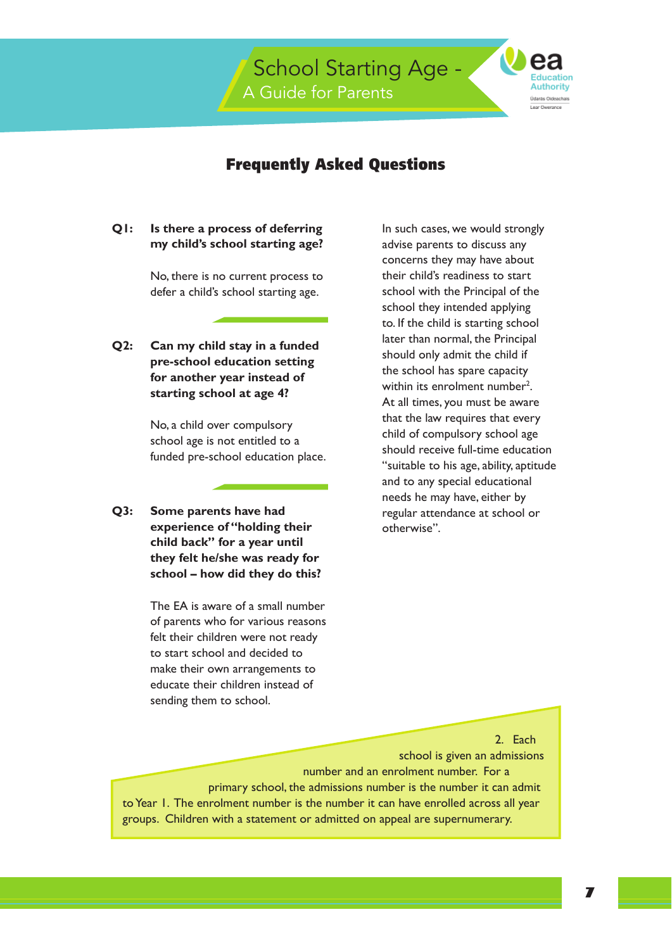

## Frequently Asked Questions

#### **O**I: **Is there a process of deferring my child's school starting age?**

No, there is no current process to defer a child's school starting age.

**Q2: Q2: Can my child stay in a funded pre-school education setting for another year instead of starting school at age 4?** 

> No, a child over compulsory school age is not entitled to a funded pre-school education place.

**Q3: Some parents have had experience of "holding their child back" for a year until they felt he/she was ready for school – how did they do this?** 

> The EA is aware of a small number of parents who for various reasons felt their children were not ready to start school and decided to make their own arrangements to educate their children instead of sending them to school.

In such cases, we would strongly advise parents to discuss any concerns they may have about their child's readiness to start school with the Principal of the school they intended applying to. If the child is starting school later than normal, the Principal should only admit the child if the school has spare capacity within its enrolment number<sup>2</sup>. At all times, you must be aware that the law requires that every child of compulsory school age should receive full-time education "suitable to his age, ability, aptitude and to any special educational needs he may have, either by regular attendance at school or otherwise".

 to Year 1. The enrolment number is the number it can have enrolled across all year 2. Each school is given an admissions number and an enrolment number. For a primary school, the admissions number is the number it can admit groups. Children with a statement or admitted on appeal are supernumerary.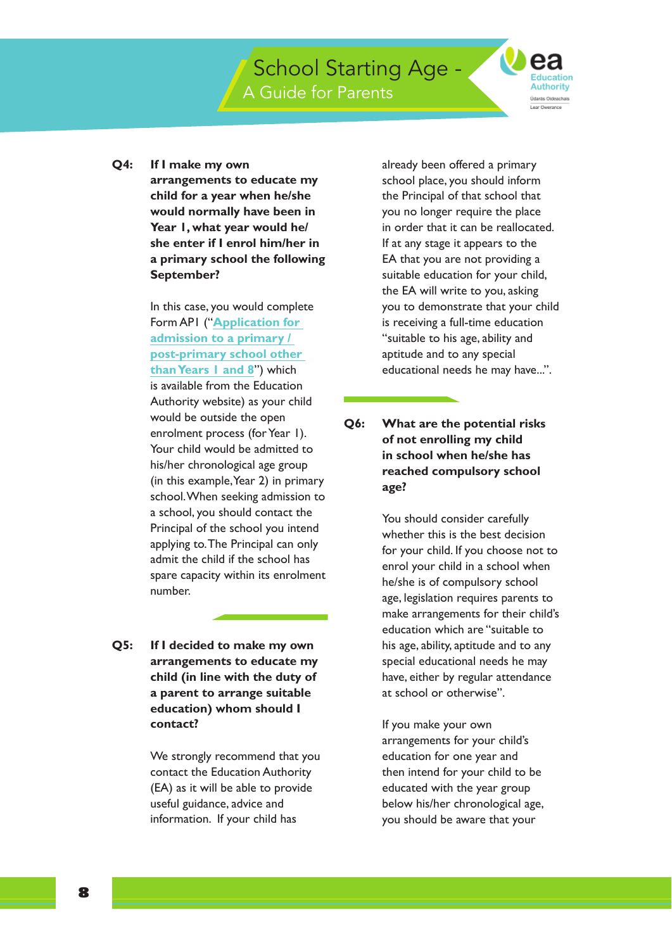A Guide for Parents

School Starting Age -

**Education** Authority .<br>Idarãs Oideachais Lear Dwerance

**O4: If I make my own arrangements to educate my child for a year when he/she would normally have been in Year 1, what year would he/ she enter if I enrol him/her in a primary school the following September?** 

> In this case, you would complete Form AP1 ("**Application for admission to a primary / post-primary school other than Years 1 and 8**") which is available from the Education Authority website) as your child would be outside the open enrolment process (for Year 1). Your child would be admitted to his/her chronological age group (in this example,Year 2) in primary school.When seeking admission to a school, you should contact the Principal of the school you intend applying to.The Principal can only admit the child if the school has spare capacity within its enrolment number.

 $Q5:$ **If I decided to make my own arrangements to educate my child (in line with the duty of a parent to arrange suitable education) whom should I contact?** 

> We strongly recommend that you contact the Education Authority (EA) as it will be able to provide useful guidance, advice and information. If your child has

 in order that it can be reallocated. already been offered a primary school place, you should inform the Principal of that school that you no longer require the place If at any stage it appears to the EA that you are not providing a suitable education for your child, the EA will write to you, asking you to demonstrate that your child is receiving a full-time education "suitable to his age, ability and aptitude and to any special educational needs he may have...".

**O6: Q6: What are the potential risks of not enrolling my child in school when he/she has reached compulsory school age?** 

> You should consider carefully whether this is the best decision for your child. If you choose not to enrol your child in a school when he/she is of compulsory school age, legislation requires parents to make arrangements for their child's education which are "suitable to his age, ability, aptitude and to any special educational needs he may have, either by regular attendance at school or otherwise".

If you make your own arrangements for your child's education for one year and then intend for your child to be educated with the year group below his/her chronological age, you should be aware that your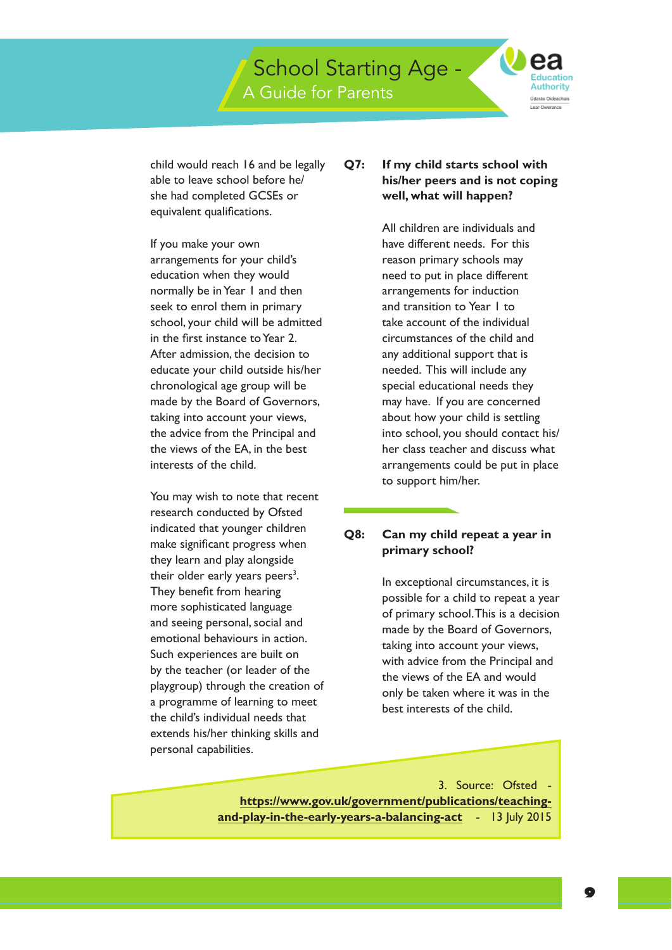A Guide for Parents

School Starting Age -

**Education** Authority .<br>Idarãs Oideachais

child would reach 16 and be legally able to leave school before he/ she had completed GCSEs or equivalent qualifications.

 interests of the child. If you make your own arrangements for your child's education when they would normally be in Year 1 and then seek to enrol them in primary school, your child will be admitted in the first instance to Year 2. After admission, the decision to educate your child outside his/her chronological age group will be made by the Board of Governors, taking into account your views, the advice from the Principal and the views of the EA, in the best

 emotional behaviours in action. You may wish to note that recent research conducted by Ofsted indicated that younger children make significant progress when they learn and play alongside their older early years peers<sup>3</sup>. They benefit from hearing more sophisticated language and seeing personal, social and Such experiences are built on by the teacher (or leader of the playgroup) through the creation of a programme of learning to meet the child's individual needs that extends his/her thinking skills and personal capabilities.

#### $O7:$ **Q7: If my child starts school with his/her peers and is not coping well, what will happen?**

 needed. This will include any All children are individuals and have different needs. For this reason primary schools may need to put in place different arrangements for induction and transition to Year 1 to take account of the individual circumstances of the child and any additional support that is special educational needs they may have. If you are concerned about how your child is settling into school, you should contact his/ her class teacher and discuss what arrangements could be put in place to support him/her.

#### O8: **Q8: Can my child repeat a year in primary school?**

In exceptional circumstances, it is possible for a child to repeat a year of primary school.This is a decision made by the Board of Governors, taking into account your views, with advice from the Principal and the views of the EA and would only be taken where it was in the best interests of the child.

3. Source: Ofsted **https://www.gov.uk/government/publications/teachingand-play-in-the-early-years-a-balancing-act** - 13 July 2015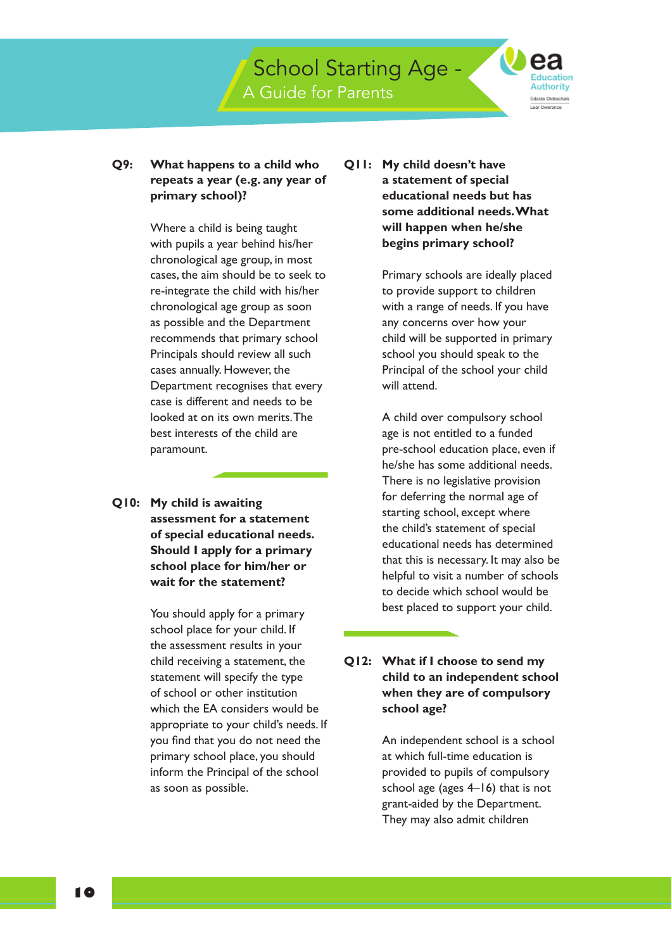A Guide for Parents

School Starting Age -

**Education** Authority .<br>Idarãs Oideachais Lear Dwerance

#### O9: **What happens to a child who repeats a year (e.g. any year of primary school)?**

Where a child is being taught with pupils a year behind his/her chronological age group, in most cases, the aim should be to seek to re-integrate the child with his/her chronological age group as soon as possible and the Department recommends that primary school Principals should review all such cases annually. However, the Department recognises that every case is different and needs to be looked at on its own merits.The best interests of the child are paramount.

**Q10: My child is awaiting assessment for a statement of special educational needs. Should I apply for a primary school place for him/her or wait for the statement?** 

> You should apply for a primary school place for your child. If the assessment results in your child receiving a statement, the statement will specify the type of school or other institution which the EA considers would be appropriate to your child's needs. If you find that you do not need the primary school place, you should inform the Principal of the school as soon as possible.

**Q11: My child doesn't have a statement of special educational needs but has some additional needs.What will happen when he/she begins primary school?** 

> Primary schools are ideally placed to provide support to children with a range of needs. If you have any concerns over how your child will be supported in primary school you should speak to the Principal of the school your child will attend.

A child over compulsory school age is not entitled to a funded pre-school education place, even if he/she has some additional needs. There is no legislative provision for deferring the normal age of starting school, except where the child's statement of special educational needs has determined that this is necessary. It may also be helpful to visit a number of schools to decide which school would be best placed to support your child.

## **Q12: What if I choose to send my child to an independent school when they are of compulsory school age?**

An independent school is a school at which full-time education is provided to pupils of compulsory school age (ages 4–16) that is not grant-aided by the Department. They may also admit children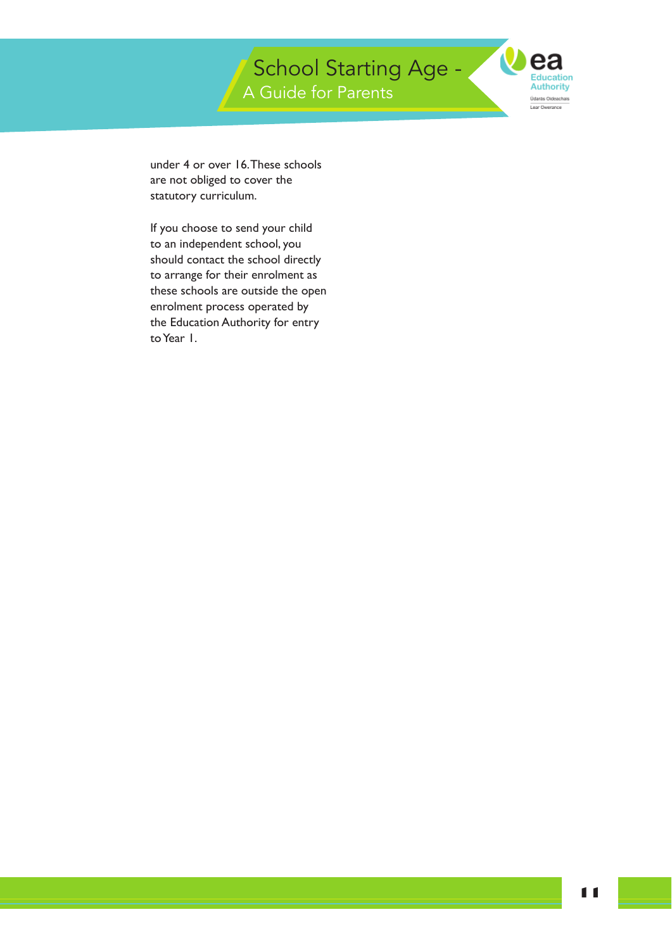$\boldsymbol{O}$ **Education Authority** Údarás Oideachais Lear Owerance

under 4 or over 16.These schools are not obliged to cover the statutory curriculum.

If you choose to send your child to an independent school, you should contact the school directly to arrange for their enrolment as these schools are outside the open enrolment process operated by the Education Authority for entry to Year 1.